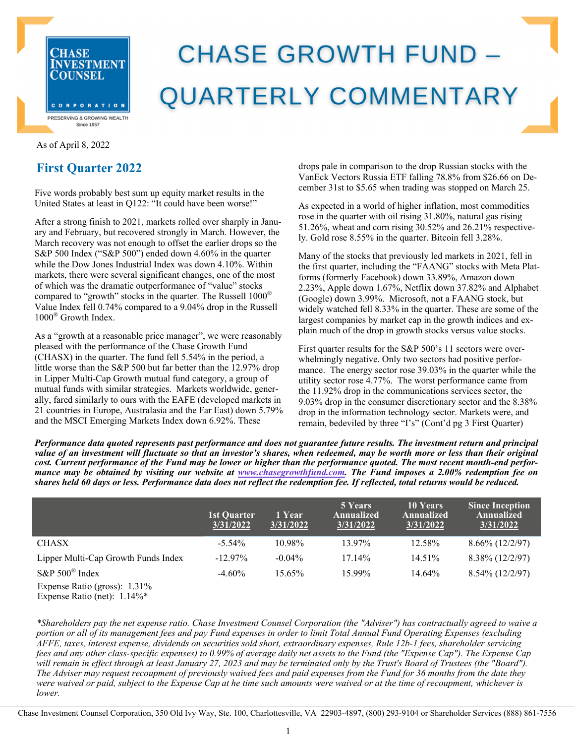

# **CHASE GROWTH FUND -QUARTERLY COMMENTARY**

### As of April 8, 2022

## **First Quarter 2022**

Five words probably best sum up equity market results in the United States at least in Q122: "It could have been worse!"

After a strong finish to 2021, markets rolled over sharply in January and February, but recovered strongly in March. However, the March recovery was not enough to offset the earlier drops so the S&P 500 Index ("S&P 500") ended down 4.60% in the quarter while the Dow Jones Industrial Index was down 4.10%. Within markets, there were several significant changes, one of the most of which was the dramatic outperformance of "value" stocks compared to "growth" stocks in the quarter. The Russell  $1000^{\circ}$ Value Index fell 0.74% compared to a 9.04% drop in the Russell 1000® Growth Index.

As a "growth at a reasonable price manager", we were reasonably pleased with the performance of the Chase Growth Fund (CHASX) in the quarter. The fund fell 5.54% in the period, a little worse than the S&P 500 but far better than the 12.97% drop in Lipper Multi-Cap Growth mutual fund category, a group of mutual funds with similar strategies. Markets worldwide, generally, fared similarly to ours with the EAFE (developed markets in 21 countries in Europe, Australasia and the Far East) down 5.79% and the MSCI Emerging Markets Index down 6.92%. These

drops pale in comparison to the drop Russian stocks with the VanEck Vectors Russia ETF falling 78.8% from \$26.66 on December 31st to \$5.65 when trading was stopped on March 25.

As expected in a world of higher inflation, most commodities rose in the quarter with oil rising 31.80%, natural gas rising 51.26%, wheat and corn rising 30.52% and 26.21% respectively. Gold rose 8.55% in the quarter. Bitcoin fell 3.28%.

Many of the stocks that previously led markets in 2021, fell in the first quarter, including the "FAANG" stocks with Meta Platforms (formerly Facebook) down 33.89%, Amazon down 2.23%, Apple down 1.67%, Netflix down 37.82% and Alphabet (Google) down 3.99%. Microsoft, not a FAANG stock, but widely watched fell 8.33% in the quarter. These are some of the largest companies by market cap in the growth indices and explain much of the drop in growth stocks versus value stocks.

First quarter results for the S&P 500's 11 sectors were overwhelmingly negative. Only two sectors had positive performance. The energy sector rose 39.03% in the quarter while the utility sector rose 4.77%. The worst performance came from the 11.92% drop in the communications services sector, the 9.03% drop in the consumer discretionary sector and the 8.38% drop in the information technology sector. Markets were, and remain, bedeviled by three "I's" (Cont'd pg 3 First Quarter)

*Performance data quoted represents past performance and does not guarantee future results. The investment return and principal value of an investment will fluctuate so that an investor's shares, when redeemed, may be worth more or less than their original cost. Current performance of the Fund may be lower or higher than the performance quoted. The most recent month-end performance may be obtained by visiting our website at www.chasegrowthfund.com. The Fund imposes a 2.00% redemption fee on shares held 60 days or less. Performance data does not reflect the redemption fee. If reflected, total returns would be reduced.*

| 1st Quarter<br>3/31/2022 | 1 Year<br>3/31/2022 | 5 Years<br>Annualized<br>3/31/2022 | 10 Years<br>Annualized<br>3/31/2022 | <b>Since Inception</b><br>Annualized<br>3/31/2022 |
|--------------------------|---------------------|------------------------------------|-------------------------------------|---------------------------------------------------|
| $-5.54\%$                | 10.98%              | 13.97%                             | 12.58%                              | $8.66\%$ (12/2/97)                                |
| $-12.97\%$               | $-0.04\%$           | 17.14%                             | $14.51\%$                           | 8.38% (12/2/97)                                   |
| $-4.60\%$                | 15.65%              | 15.99%                             | 14.64%                              | $8.54\%$ (12/2/97)                                |
|                          |                     |                                    |                                     |                                                   |
|                          |                     |                                    |                                     |                                                   |

*\*Shareholders pay the net expense ratio. Chase Investment Counsel Corporation (the "Adviser") has contractually agreed to waive a portion or all of its management fees and pay Fund expenses in order to limit Total Annual Fund Operating Expenses (excluding AFFE, taxes, interest expense, dividends on securities sold short, extraordinary expenses, Rule 12b-1 fees, shareholder servicing fees and any other class-specific expenses) to 0.99% of average daily net assets to the Fund (the "Expense Cap"). The Expense Cap will remain in effect through at least January 27, 2023 and may be terminated only by the Trust's Board of Trustees (the "Board"). The Adviser may request recoupment of previously waived fees and paid expenses from the Fund for 36 months from the date they were waived or paid, subject to the Expense Cap at he time such amounts were waived or at the time of recoupment, whichever is lower.* 

Chase Investment Counsel Corporation, 350 Old Ivy Way, Ste. 100, Charlottesville, VA 22903-4897, (800) 293-9104 or Shareholder Services (888) 861-7556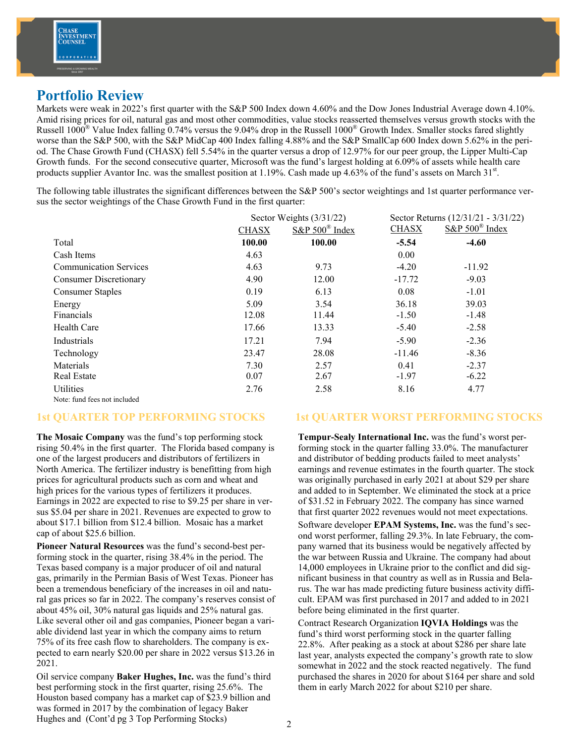# **Portfolio Review**

Markets were weak in 2022's first quarter with the S&P 500 Index down 4.60% and the Dow Jones Industrial Average down 4.10%. Amid rising prices for oil, natural gas and most other commodities, value stocks reasserted themselves versus growth stocks with the Russell  $1000^{\circ}$  Value Index falling 0.74% versus the 9.04% drop in the Russell  $1000^{\circ}$  Growth Index. Smaller stocks fared slightly worse than the S&P 500, with the S&P MidCap 400 Index falling 4.88% and the S&P SmallCap 600 Index down 5.62% in the period. The Chase Growth Fund (CHASX) fell 5.54% in the quarter versus a drop of 12.97% for our peer group, the Lipper Multi-Cap Growth funds. For the second consecutive quarter, Microsoft was the fund's largest holding at 6.09% of assets while health care products supplier Avantor Inc. was the smallest position at 1.19%. Cash made up 4.63% of the fund's assets on March 31st.

The following table illustrates the significant differences between the S&P 500's sector weightings and 1st quarter performance versus the sector weightings of the Chase Growth Fund in the first quarter:

|                               |              | Sector Weights (3/31/22) |              | Sector Returns (12/31/21 - 3/31/22) |  |
|-------------------------------|--------------|--------------------------|--------------|-------------------------------------|--|
|                               | <b>CHASX</b> | $S\&P 500^{\circ}$ Index | <b>CHASX</b> | $S\&P 500^{\circ}$ Index            |  |
| Total                         | 100.00       | 100.00                   | $-5.54$      | $-4.60$                             |  |
| Cash Items                    | 4.63         |                          | 0.00         |                                     |  |
| <b>Communication Services</b> | 4.63         | 9.73                     | $-4.20$      | $-11.92$                            |  |
| <b>Consumer Discretionary</b> | 4.90         | 12.00                    | $-17.72$     | $-9.03$                             |  |
| <b>Consumer Staples</b>       | 0.19         | 6.13                     | 0.08         | $-1.01$                             |  |
| Energy                        | 5.09         | 3.54                     | 36.18        | 39.03                               |  |
| Financials                    | 12.08        | 11.44                    | $-1.50$      | $-1.48$                             |  |
| Health Care                   | 17.66        | 13.33                    | $-5.40$      | $-2.58$                             |  |
| Industrials                   | 17.21        | 7.94                     | $-5.90$      | $-2.36$                             |  |
| Technology                    | 23.47        | 28.08                    | $-11.46$     | $-8.36$                             |  |
| Materials                     | 7.30         | 2.57                     | 0.41         | $-2.37$                             |  |
| <b>Real Estate</b>            | 0.07         | 2.67                     | $-1.97$      | $-6.22$                             |  |
| Utilities                     | 2.76         | 2.58                     | 8.16         | 4.77                                |  |
| Note: fund fees not included  |              |                          |              |                                     |  |

## **1st QUARTER TOP PERFORMING STOCKS**

**The Mosaic Company** was the fund's top performing stock rising 50.4% in the first quarter. The Florida based company is one of the largest producers and distributors of fertilizers in North America. The fertilizer industry is benefitting from high prices for agricultural products such as corn and wheat and high prices for the various types of fertilizers it produces. Earnings in 2022 are expected to rise to \$9.25 per share in versus \$5.04 per share in 2021. Revenues are expected to grow to about \$17.1 billion from \$12.4 billion. Mosaic has a market cap of about \$25.6 billion.

**Pioneer Natural Resources** was the fund's second-best performing stock in the quarter, rising 38.4% in the period. The Texas based company is a major producer of oil and natural gas, primarily in the Permian Basis of West Texas. Pioneer has been a tremendous beneficiary of the increases in oil and natural gas prices so far in 2022. The company's reserves consist of about 45% oil, 30% natural gas liquids and 25% natural gas. Like several other oil and gas companies, Pioneer began a variable dividend last year in which the company aims to return 75% of its free cash flow to shareholders. The company is expected to earn nearly \$20.00 per share in 2022 versus \$13.26 in 2021.

Oil service company **Baker Hughes, Inc.** was the fund's third best performing stock in the first quarter, rising 25.6%. The Houston based company has a market cap of \$23.9 billion and was formed in 2017 by the combination of legacy Baker Hughes and (Cont'd pg 3 Top Performing Stocks)

## **1st QUARTER WORST PERFORMING STOCKS**

**Tempur-Sealy International Inc.** was the fund's worst performing stock in the quarter falling 33.0%. The manufacturer and distributor of bedding products failed to meet analysts' earnings and revenue estimates in the fourth quarter. The stock was originally purchased in early 2021 at about \$29 per share and added to in September. We eliminated the stock at a price of \$31.52 in February 2022. The company has since warned that first quarter 2022 revenues would not meet expectations.

Software developer **EPAM Systems, Inc.** was the fund's second worst performer, falling 29.3%. In late February, the company warned that its business would be negatively affected by the war between Russia and Ukraine. The company had about 14,000 employees in Ukraine prior to the conflict and did significant business in that country as well as in Russia and Belarus. The war has made predicting future business activity difficult. EPAM was first purchased in 2017 and added to in 2021 before being eliminated in the first quarter.

Contract Research Organization **IQVIA Holdings** was the fund's third worst performing stock in the quarter falling 22.8%. After peaking as a stock at about \$286 per share late last year, analysts expected the company's growth rate to slow somewhat in 2022 and the stock reacted negatively. The fund purchased the shares in 2020 for about \$164 per share and sold them in early March 2022 for about \$210 per share.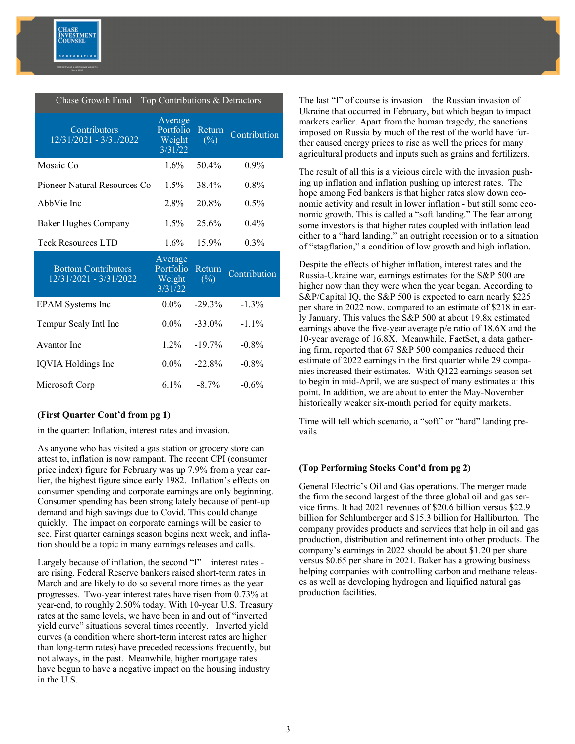

| Chase Growth Fund—Top Contributions & Detractors     |                                           |                                      |              |  |  |  |
|------------------------------------------------------|-------------------------------------------|--------------------------------------|--------------|--|--|--|
| Contributors<br>12/31/2021 - 3/31/2022               | Average<br>Portfolio<br>Weight<br>3/31/22 | Return<br>$(\%)$                     | Contribution |  |  |  |
| Mosaic Co                                            | 1.6%                                      | $50.4\%$                             | $0.9\%$      |  |  |  |
| Pioneer Natural Resources Co                         | $1.5\%$                                   | 38.4%                                | $0.8\%$      |  |  |  |
| AbbVie Inc                                           | 2.8%                                      | 20.8%                                | $0.5\%$      |  |  |  |
| <b>Baker Hughes Company</b>                          | $1.5\%$                                   | 25.6%                                | $0.4\%$      |  |  |  |
| Teck Resources LTD                                   | $1.6\%$                                   | 15.9%                                | $0.3\%$      |  |  |  |
| <b>Bottom Contributors</b><br>12/31/2021 - 3/31/2022 | Average<br>Portfolio<br>Weight<br>3/31/22 | Return<br>$(\overline{\frac{0}{0}})$ | Contribution |  |  |  |
| <b>EPAM</b> Systems Inc                              | $0.0\%$                                   | $-29.3%$                             | $-1.3\%$     |  |  |  |
| Tempur Sealy Intl Inc                                | $0.0\%$                                   | $-33.0\%$                            | $-1.1\%$     |  |  |  |
| Avantor Inc.                                         | $1.2\%$                                   | $-19.7%$                             | $-0.8\%$     |  |  |  |
| IQVIA Holdings Inc                                   | $0.0\%$                                   | $-22.8\%$                            | $-0.8\%$     |  |  |  |
| Microsoft Corp                                       | $6.1\%$                                   | $-8.7\%$                             | $-0.6%$      |  |  |  |

### **(First Quarter Cont'd from pg 1)**

in the quarter: Inflation, interest rates and invasion.

As anyone who has visited a gas station or grocery store can attest to, inflation is now rampant. The recent CPI (consumer price index) figure for February was up 7.9% from a year earlier, the highest figure since early 1982. Inflation's effects on consumer spending and corporate earnings are only beginning. Consumer spending has been strong lately because of pent-up demand and high savings due to Covid. This could change quickly. The impact on corporate earnings will be easier to see. First quarter earnings season begins next week, and inflation should be a topic in many earnings releases and calls.

Largely because of inflation, the second "I" – interest rates are rising. Federal Reserve bankers raised short-term rates in March and are likely to do so several more times as the year progresses. Two-year interest rates have risen from 0.73% at year-end, to roughly 2.50% today. With 10-year U.S. Treasury rates at the same levels, we have been in and out of "inverted yield curve" situations several times recently. Inverted yield curves (a condition where short-term interest rates are higher than long-term rates) have preceded recessions frequently, but not always, in the past. Meanwhile, higher mortgage rates have begun to have a negative impact on the housing industry in the U.S.

The last "I" of course is invasion – the Russian invasion of Ukraine that occurred in February, but which began to impact markets earlier. Apart from the human tragedy, the sanctions imposed on Russia by much of the rest of the world have further caused energy prices to rise as well the prices for many agricultural products and inputs such as grains and fertilizers.

The result of all this is a vicious circle with the invasion pushing up inflation and inflation pushing up interest rates. The hope among Fed bankers is that higher rates slow down economic activity and result in lower inflation - but still some economic growth. This is called a "soft landing." The fear among some investors is that higher rates coupled with inflation lead either to a "hard landing," an outright recession or to a situation of "stagflation," a condition of low growth and high inflation.

Despite the effects of higher inflation, interest rates and the Russia-Ukraine war, earnings estimates for the S&P 500 are higher now than they were when the year began. According to S&P/Capital IQ, the S&P 500 is expected to earn nearly \$225 per share in 2022 now, compared to an estimate of \$218 in early January. This values the S&P 500 at about 19.8x estimated earnings above the five-year average p/e ratio of 18.6X and the 10-year average of 16.8X. Meanwhile, FactSet, a data gathering firm, reported that 67 S&P 500 companies reduced their estimate of 2022 earnings in the first quarter while 29 companies increased their estimates. With Q122 earnings season set to begin in mid-April, we are suspect of many estimates at this point. In addition, we are about to enter the May-November historically weaker six-month period for equity markets.

Time will tell which scenario, a "soft" or "hard" landing prevails.

### **(Top Performing Stocks Cont'd from pg 2)**

General Electric's Oil and Gas operations. The merger made the firm the second largest of the three global oil and gas service firms. It had 2021 revenues of \$20.6 billion versus \$22.9 billion for Schlumberger and \$15.3 billion for Halliburton. The company provides products and services that help in oil and gas production, distribution and refinement into other products. The company's earnings in 2022 should be about \$1.20 per share versus \$0.65 per share in 2021. Baker has a growing business helping companies with controlling carbon and methane releases as well as developing hydrogen and liquified natural gas production facilities.